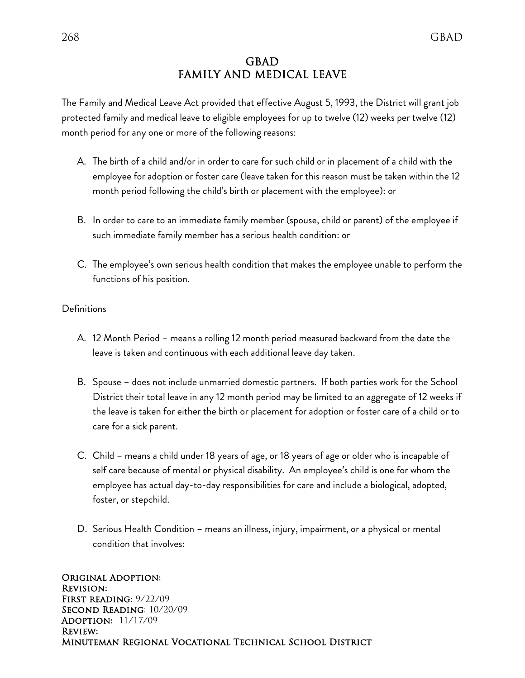# GBAD FAMILY AND MEDICAL LEAVE

The Family and Medical Leave Act provided that effective August 5, 1993, the District will grant job protected family and medical leave to eligible employees for up to twelve (12) weeks per twelve (12) month period for any one or more of the following reasons:

- A. The birth of a child and/or in order to care for such child or in placement of a child with the employee for adoption or foster care (leave taken for this reason must be taken within the 12 month period following the child's birth or placement with the employee): or
- B. In order to care to an immediate family member (spouse, child or parent) of the employee if such immediate family member has a serious health condition: or
- C. The employee's own serious health condition that makes the employee unable to perform the functions of his position.

### **Definitions**

- A. 12 Month Period means a rolling 12 month period measured backward from the date the leave is taken and continuous with each additional leave day taken.
- B. Spouse does not include unmarried domestic partners. If both parties work for the School District their total leave in any 12 month period may be limited to an aggregate of 12 weeks if the leave is taken for either the birth or placement for adoption or foster care of a child or to care for a sick parent.
- C. Child means a child under 18 years of age, or 18 years of age or older who is incapable of self care because of mental or physical disability. An employee's child is one for whom the employee has actual day-to-day responsibilities for care and include a biological, adopted, foster, or stepchild.
- D. Serious Health Condition means an illness, injury, impairment, or a physical or mental condition that involves: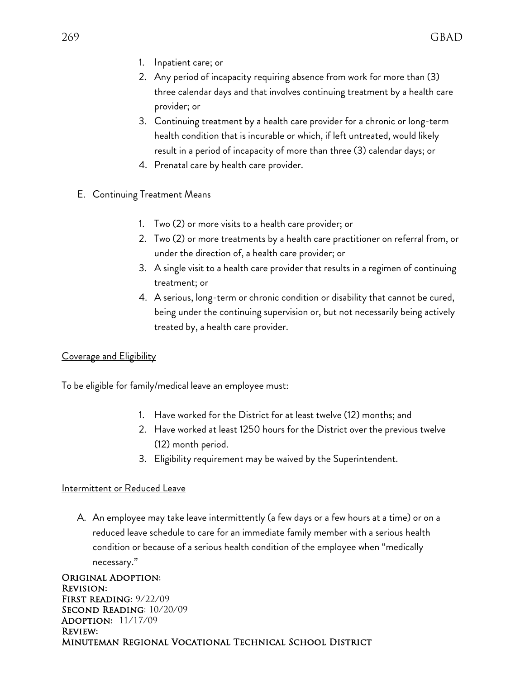- 1. Inpatient care; or
- 2. Any period of incapacity requiring absence from work for more than (3) three calendar days and that involves continuing treatment by a health care provider; or
- 3. Continuing treatment by a health care provider for a chronic or long-term health condition that is incurable or which, if left untreated, would likely result in a period of incapacity of more than three (3) calendar days; or
- 4. Prenatal care by health care provider.
- E. Continuing Treatment Means
	- 1. Two (2) or more visits to a health care provider; or
	- 2. Two (2) or more treatments by a health care practitioner on referral from, or under the direction of, a health care provider; or
	- 3. A single visit to a health care provider that results in a regimen of continuing treatment; or
	- 4. A serious, long-term or chronic condition or disability that cannot be cured, being under the continuing supervision or, but not necessarily being actively treated by, a health care provider.

## Coverage and Eligibility

To be eligible for family/medical leave an employee must:

- 1. Have worked for the District for at least twelve (12) months; and
- 2. Have worked at least 1250 hours for the District over the previous twelve (12) month period.
- 3. Eligibility requirement may be waived by the Superintendent.

### Intermittent or Reduced Leave

A. An employee may take leave intermittently (a few days or a few hours at a time) or on a reduced leave schedule to care for an immediate family member with a serious health condition or because of a serious health condition of the employee when "medically necessary."

Original Adoption: Revision: First reading: 9/22/09 Second Reading: 10/20/09 Adoption: 11/17/09 Review: Minuteman Regional Vocational Technical School District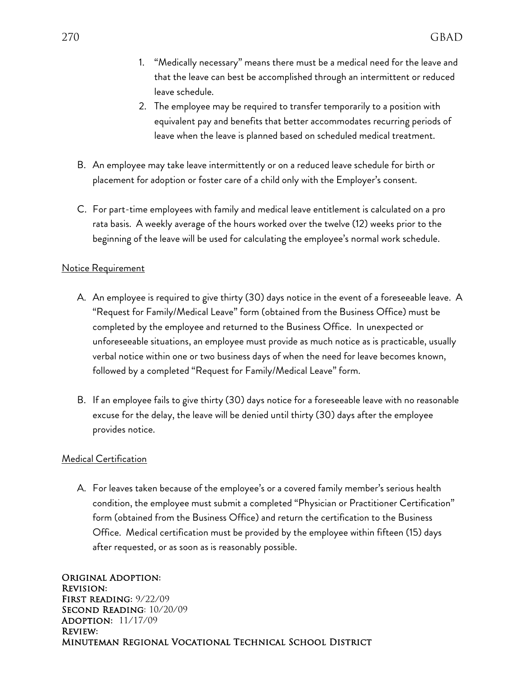- 1. "Medically necessary" means there must be a medical need for the leave and that the leave can best be accomplished through an intermittent or reduced leave schedule.
- 2. The employee may be required to transfer temporarily to a position with equivalent pay and benefits that better accommodates recurring periods of leave when the leave is planned based on scheduled medical treatment.
- B. An employee may take leave intermittently or on a reduced leave schedule for birth or placement for adoption or foster care of a child only with the Employer's consent.
- C. For part-time employees with family and medical leave entitlement is calculated on a pro rata basis. A weekly average of the hours worked over the twelve (12) weeks prior to the beginning of the leave will be used for calculating the employee's normal work schedule.

#### Notice Requirement

- A. An employee is required to give thirty (30) days notice in the event of a foreseeable leave. A "Request for Family/Medical Leave" form (obtained from the Business Office) must be completed by the employee and returned to the Business Office. In unexpected or unforeseeable situations, an employee must provide as much notice as is practicable, usually verbal notice within one or two business days of when the need for leave becomes known, followed by a completed "Request for Family/Medical Leave" form.
- B. If an employee fails to give thirty (30) days notice for a foreseeable leave with no reasonable excuse for the delay, the leave will be denied until thirty (30) days after the employee provides notice.

#### Medical Certification

A. For leaves taken because of the employee's or a covered family member's serious health condition, the employee must submit a completed "Physician or Practitioner Certification" form (obtained from the Business Office) and return the certification to the Business Office. Medical certification must be provided by the employee within fifteen (15) days after requested, or as soon as is reasonably possible.

Original Adoption: Revision: First reading: 9/22/09 Second Reading: 10/20/09 Adoption: 11/17/09 Review: Minuteman Regional Vocational Technical School District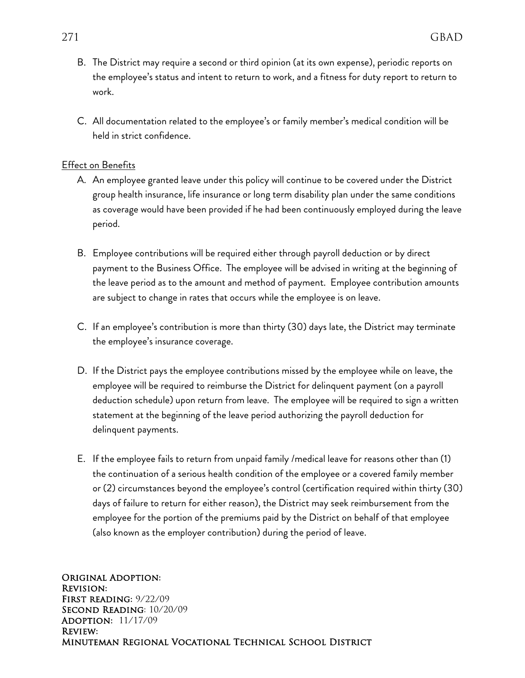- B. The District may require a second or third opinion (at its own expense), periodic reports on the employee's status and intent to return to work, and a fitness for duty report to return to work.
- C. All documentation related to the employee's or family member's medical condition will be held in strict confidence.

#### **Effect on Benefits**

- A. An employee granted leave under this policy will continue to be covered under the District group health insurance, life insurance or long term disability plan under the same conditions as coverage would have been provided if he had been continuously employed during the leave period.
- B. Employee contributions will be required either through payroll deduction or by direct payment to the Business Office. The employee will be advised in writing at the beginning of the leave period as to the amount and method of payment. Employee contribution amounts are subject to change in rates that occurs while the employee is on leave.
- C. If an employee's contribution is more than thirty (30) days late, the District may terminate the employee's insurance coverage.
- D. If the District pays the employee contributions missed by the employee while on leave, the employee will be required to reimburse the District for delinquent payment (on a payroll deduction schedule) upon return from leave. The employee will be required to sign a written statement at the beginning of the leave period authorizing the payroll deduction for delinquent payments.
- E. If the employee fails to return from unpaid family /medical leave for reasons other than (1) the continuation of a serious health condition of the employee or a covered family member or (2) circumstances beyond the employee's control (certification required within thirty (30) days of failure to return for either reason), the District may seek reimbursement from the employee for the portion of the premiums paid by the District on behalf of that employee (also known as the employer contribution) during the period of leave.

Original Adoption: Revision: First reading: 9/22/09 Second Reading: 10/20/09 Adoption: 11/17/09 Review: Minuteman Regional Vocational Technical School District